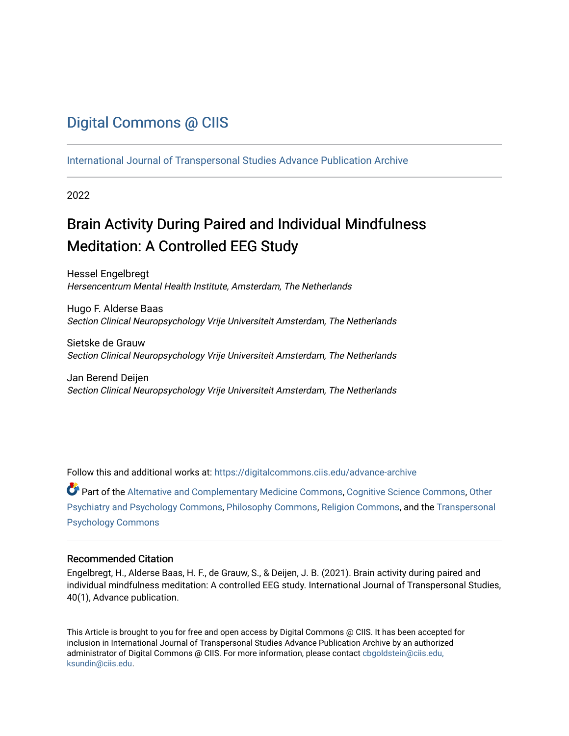# [Digital Commons @ CIIS](https://digitalcommons.ciis.edu/)

[International Journal of Transpersonal Studies Advance Publication Archive](https://digitalcommons.ciis.edu/advance-archive)

2022

# Brain Activity During Paired and Individual Mindfulness Meditation: A Controlled EEG Study

Hessel Engelbregt Hersencentrum Mental Health Institute, Amsterdam, The Netherlands

Hugo F. Alderse Baas Section Clinical Neuropsychology Vrije Universiteit Amsterdam, The Netherlands

Sietske de Grauw Section Clinical Neuropsychology Vrije Universiteit Amsterdam, The Netherlands

Jan Berend Deijen Section Clinical Neuropsychology Vrije Universiteit Amsterdam, The Netherlands

Follow this and additional works at: [https://digitalcommons.ciis.edu/advance-archive](https://digitalcommons.ciis.edu/advance-archive?utm_source=digitalcommons.ciis.edu%2Fadvance-archive%2F40&utm_medium=PDF&utm_campaign=PDFCoverPages)

Part of the [Alternative and Complementary Medicine Commons,](https://network.bepress.com/hgg/discipline/649?utm_source=digitalcommons.ciis.edu%2Fadvance-archive%2F40&utm_medium=PDF&utm_campaign=PDFCoverPages) [Cognitive Science Commons,](https://network.bepress.com/hgg/discipline/1437?utm_source=digitalcommons.ciis.edu%2Fadvance-archive%2F40&utm_medium=PDF&utm_campaign=PDFCoverPages) [Other](https://network.bepress.com/hgg/discipline/992?utm_source=digitalcommons.ciis.edu%2Fadvance-archive%2F40&utm_medium=PDF&utm_campaign=PDFCoverPages)  [Psychiatry and Psychology Commons](https://network.bepress.com/hgg/discipline/992?utm_source=digitalcommons.ciis.edu%2Fadvance-archive%2F40&utm_medium=PDF&utm_campaign=PDFCoverPages), [Philosophy Commons,](https://network.bepress.com/hgg/discipline/525?utm_source=digitalcommons.ciis.edu%2Fadvance-archive%2F40&utm_medium=PDF&utm_campaign=PDFCoverPages) [Religion Commons](https://network.bepress.com/hgg/discipline/538?utm_source=digitalcommons.ciis.edu%2Fadvance-archive%2F40&utm_medium=PDF&utm_campaign=PDFCoverPages), and the [Transpersonal](https://network.bepress.com/hgg/discipline/1388?utm_source=digitalcommons.ciis.edu%2Fadvance-archive%2F40&utm_medium=PDF&utm_campaign=PDFCoverPages)  [Psychology Commons](https://network.bepress.com/hgg/discipline/1388?utm_source=digitalcommons.ciis.edu%2Fadvance-archive%2F40&utm_medium=PDF&utm_campaign=PDFCoverPages) 

#### Recommended Citation

Engelbregt, H., Alderse Baas, H. F., de Grauw, S., & Deijen, J. B. (2021). Brain activity during paired and individual mindfulness meditation: A controlled EEG study. International Journal of Transpersonal Studies, 40(1), Advance publication.

This Article is brought to you for free and open access by Digital Commons @ CIIS. It has been accepted for inclusion in International Journal of Transpersonal Studies Advance Publication Archive by an authorized administrator of Digital Commons @ CIIS. For more information, please contact [cbgoldstein@ciis.edu,](mailto:cbgoldstein@ciis.edu,%20ksundin@ciis.edu)  [ksundin@ciis.edu](mailto:cbgoldstein@ciis.edu,%20ksundin@ciis.edu).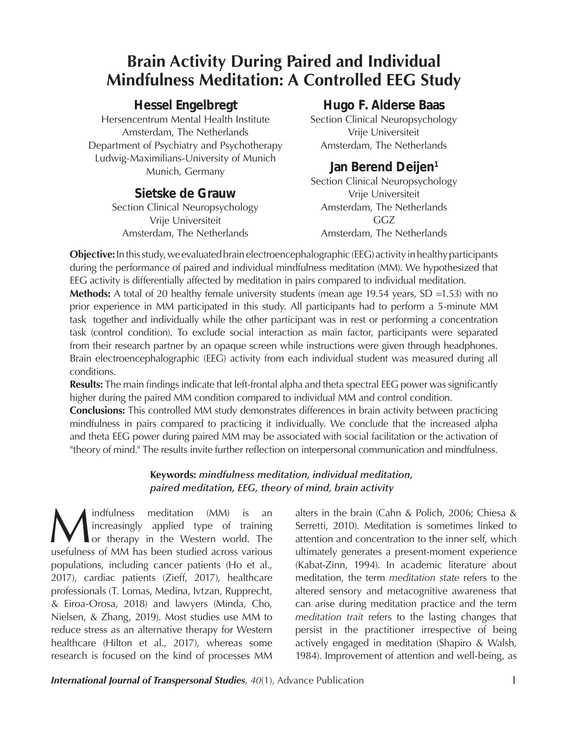# **Brain Activity During Paired and Individual Mindfulness Meditation: A Controlled EEG Study**

# *Hessel Engelbregt*

Hersencentrum Mental Health Institute Amsterdam, The Netherlands Department of Psychiatry and Psychotherapy Ludwig-Maximilians-University of Munich Munich, Germany

## *Sietske de Grauw*

Section Clinical Neuropsychology Vrije Universiteit Amsterdam, The Netherlands

## *Hugo F. Alderse Baas*

Section Clinical Neuropsychology Vrije Universiteit Amsterdam, The Netherlands

# *Jan Berend Deijen1*

Section Clinical Neuropsychology Vrije Universiteit Amsterdam, The Netherlands GGZ Amsterdam, The Netherlands

**Objective:** In this study, we evaluated brain electroencephalographic (EEG) activity in healthy participants during the performance of paired and individual mindfulness meditation (MM). We hypothesized that EEG activity is differentially affected by meditation in pairs compared to individual meditation.

**Methods:** A total of 20 healthy female university students (mean age 19.54 years, SD =1.53) with no prior experience in MM participated in this study. All participants had to perform a 5-minute MM task together and individually while the other participant was in rest or performing a concentration task (control condition). To exclude social interaction as main factor, participants were separated from their research partner by an opaque screen while instructions were given through headphones. Brain electroencephalographic (EEG) activity from each individual student was measured during all conditions.

**Results:** The main findings indicate that left-frontal alpha and theta spectral EEG power was significantly higher during the paired MM condition compared to individual MM and control condition.

**Conclusions:** This controlled MM study demonstrates differences in brain activity between practicing mindfulness in pairs compared to practicing it individually. We conclude that the increased alpha and theta EEG power during paired MM may be associated with social facilitation or the activation of "theory of mind." The results invite further reflection on interpersonal communication and mindfulness.

### **Keywords:** *mindfulness meditation, individual meditation, paired meditation, EEG, theory of mind, brain activity*

**Manufold Example 19 and September 11** increasingly applied type of training<br>or therapy in the Western world. The<br>usefulness of MM has been studied across various increasingly applied type of training or therapy in the Western world. The usefulness of MM has been studied across various populations, including cancer patients (Ho et al., 2017), cardiac patients (Zieff, 2017), healthcare professionals (T. Lomas, Medina, Ivtzan, Rupprecht, & Eiroa-Orosa, 2018) and lawyers (Minda, Cho, Nielsen, & Zhang, 2019). Most studies use MM to reduce stress as an alternative therapy for Western healthcare (Hilton et al., 2017), whereas some research is focused on the kind of processes MM

alters in the brain (Cahn & Polich, 2006; Chiesa & Serretti, 2010). Meditation is sometimes linked to attention and concentration to the inner self, which ultimately generates a present-moment experience (Kabat-Zinn, 1994). In academic literature about meditation, the term *meditation state* refers to the altered sensory and metacognitive awareness that can arise during meditation practice and the term *meditation trait* refers to the lasting changes that persist in the practitioner irrespective of being actively engaged in meditation (Shapiro & Walsh, 1984). Improvement of attention and well-being, as

**International Journal of Transpersonal Studies**, 40(1), Advance Publication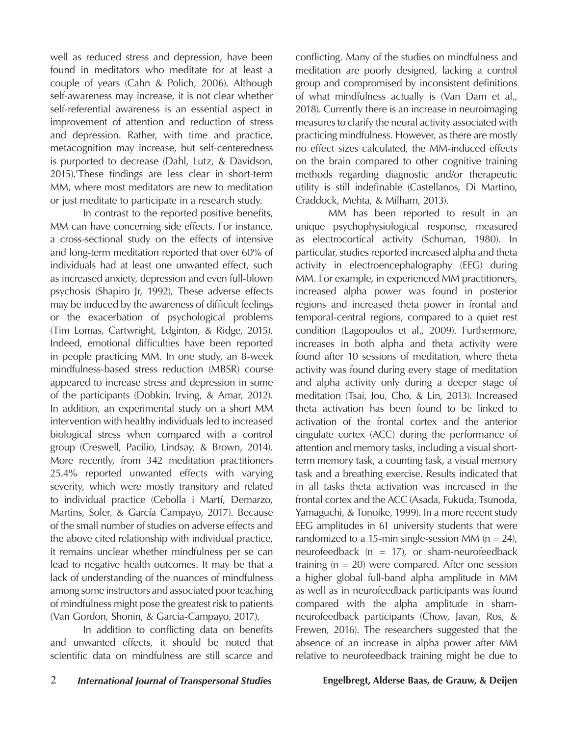well as reduced stress and depression, have been found in meditators who meditate for at least a couple of years (Cahn & Polich, 2006). Although self-awareness may increase, it is not clear whether self-referential awareness is an essential aspect in improvement of attention and reduction of stress and depression. Rather, with time and practice, metacognition may increase, but self-centeredness is purported to decrease (Dahl, Lutz, & Davidson, 2015).'These findings are less clear in short-term MM, where most meditators are new to meditation or just meditate to participate in a research study.

In contrast to the reported positive benefits, MM can have concerning side effects. For instance, a cross-sectional study on the effects of intensive and long-term meditation reported that over 60% of individuals had at least one unwanted effect, such as increased anxiety, depression and even full-blown psychosis (Shapiro Jr, 1992), These adverse effects may be induced by the awareness of difficult feelings or the exacerbation of psychological problems (Tim Lomas, Cartwright, Edginton, & Ridge, 2015). Indeed, emotional difficulties have been reported in people practicing MM. In one study, an 8-week mindfulness-based stress reduction (MBSR) course appeared to increase stress and depression in some of the participants (Dobkin, Irving, & Amar, 2012). In addition, an experimental study on a short MM intervention with healthy individuals led to increased biological stress when compared with a control group (Creswell, Pacilio, Lindsay, & Brown, 2014). More recently, from 342 meditation practitioners 25.4% reported unwanted effects with varying severity, which were mostly transitory and related to individual practice (Cebolla i Martí, Demarzo, Martins, Soler, & García Campayo, 2017). Because of the small number of studies on adverse effects and the above cited relationship with individual practice, it remains unclear whether mindfulness per se can lead to negative health outcomes. It may be that a lack of understanding of the nuances of mindfulness among some instructors and associated poor teaching of mindfulness might pose the greatest risk to patients (Van Gordon, Shonin, & Garcia-Campayo, 2017).

In addition to conflicting data on benefits and unwanted effects, it should be noted that scientific data on mindfulness are still scarce and

conflicting. Many of the studies on mindfulness and meditation are poorly designed, lacking a control group and compromised by inconsistent definitions of what mindfulness actually is (Van Dam et al., 2018). Currently there is an increase in neuroimaging measures to clarify the neural activity associated with practicing mindfulness. However, as there are mostly no effect sizes calculated, the MM-induced effects on the brain compared to other cognitive training methods regarding diagnostic and/or therapeutic utility is still indefinable (Castellanos, Di Martino, Craddock, Mehta, & Milham, 2013).

MM has been reported to result in an unique psychophysiological response, measured as electrocortical activity (Schuman, 1980). In particular, studies reported increased alpha and theta activity in electroencephalography (EEG) during MM. For example, in experienced MM practitioners, increased alpha power was found in posterior regions and increased theta power in frontal and temporal-central regions, compared to a quiet rest condition (Lagopoulos et al., 2009). Furthermore, increases in both alpha and theta activity were found after 10 sessions of meditation, where theta activity was found during every stage of meditation and alpha activity only during a deeper stage of meditation (Tsai, Jou, Cho, & Lin, 2013). Increased theta activation has been found to be linked to activation of the frontal cortex and the anterior cingulate cortex (ACC) during the performance of attention and memory tasks, including a visual shortterm memory task, a counting task, a visual memory task and a breathing exercise. Results indicated that in all tasks theta activation was increased in the frontal cortex and the ACC (Asada, Fukuda, Tsunoda, Yamaguchi, & Tonoike, 1999). In a more recent study EEG amplitudes in 61 university students that were randomized to a 15-min single-session MM ( $n = 24$ ), neurofeedback ( $n = 17$ ), or sham-neurofeedback training  $(n = 20)$  were compared. After one session a higher global full-band alpha amplitude in MM as well as in neurofeedback participants was found compared with the alpha amplitude in shamneurofeedback participants (Chow, Javan, Ros, & Frewen, 2016). The researchers suggested that the absence of an increase in alpha power after MM relative to neurofeedback training might be due to

### 2 *International Journal of Transpersonal Studies* **Engelbregt, Alderse Baas, de Grauw, & Deijen**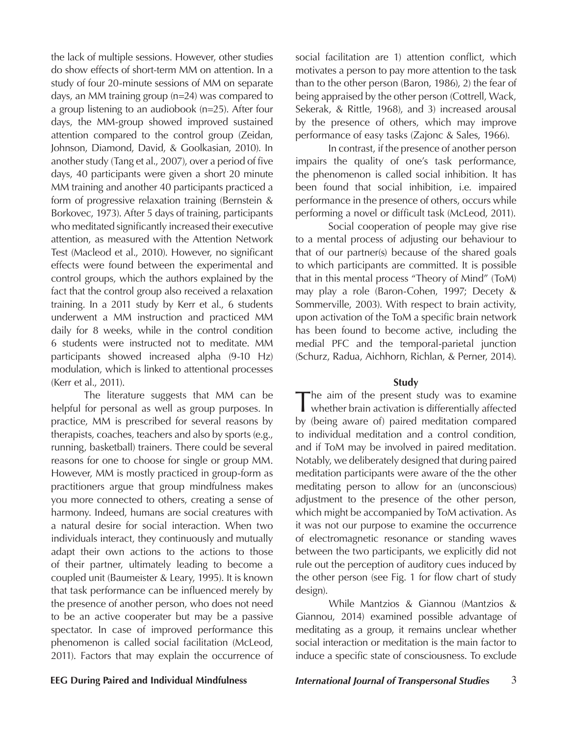the lack of multiple sessions. However, other studies do show effects of short-term MM on attention. In a study of four 20-minute sessions of MM on separate days, an MM training group (n=24) was compared to a group listening to an audiobook (n=25). After four days, the MM-group showed improved sustained attention compared to the control group (Zeidan, Johnson, Diamond, David, & Goolkasian, 2010). In another study (Tang et al., 2007), over a period of five days, 40 participants were given a short 20 minute MM training and another 40 participants practiced a form of progressive relaxation training (Bernstein & Borkovec, 1973). After 5 days of training, participants who meditated significantly increased their executive attention, as measured with the Attention Network Test (Macleod et al., 2010). However, no significant effects were found between the experimental and control groups, which the authors explained by the fact that the control group also received a relaxation training. In a 2011 study by Kerr et al., 6 students underwent a MM instruction and practiced MM daily for 8 weeks, while in the control condition 6 students were instructed not to meditate. MM participants showed increased alpha (9-10 Hz) modulation, which is linked to attentional processes (Kerr et al., 2011).

The literature suggests that MM can be helpful for personal as well as group purposes. In practice, MM is prescribed for several reasons by therapists, coaches, teachers and also by sports (e.g., running, basketball) trainers. There could be several reasons for one to choose for single or group MM. However, MM is mostly practiced in group-form as practitioners argue that group mindfulness makes you more connected to others, creating a sense of harmony. Indeed, humans are social creatures with a natural desire for social interaction. When two individuals interact, they continuously and mutually adapt their own actions to the actions to those of their partner, ultimately leading to become a coupled unit (Baumeister & Leary, 1995). It is known that task performance can be influenced merely by the presence of another person, who does not need to be an active cooperater but may be a passive spectator. In case of improved performance this phenomenon is called social facilitation (McLeod, 2011). Factors that may explain the occurrence of

social facilitation are 1) attention conflict, which motivates a person to pay more attention to the task than to the other person (Baron, 1986), 2) the fear of being appraised by the other person (Cottrell, Wack, Sekerak, & Rittle, 1968), and 3) increased arousal by the presence of others, which may improve performance of easy tasks (Zajonc & Sales, 1966).

In contrast, if the presence of another person impairs the quality of one's task performance, the phenomenon is called social inhibition. It has been found that social inhibition, i.e. impaired performance in the presence of others, occurs while performing a novel or difficult task (McLeod, 2011).

Social cooperation of people may give rise to a mental process of adjusting our behaviour to that of our partner(s) because of the shared goals to which participants are committed. It is possible that in this mental process "Theory of Mind" (ToM) may play a role (Baron-Cohen, 1997; Decety & Sommerville, 2003). With respect to brain activity, upon activation of the ToM a specific brain network has been found to become active, including the medial PFC and the temporal-parietal junction (Schurz, Radua, Aichhorn, Richlan, & Perner, 2014).

#### **Study**

The aim of the present study was to examine whether brain activation is differentially affected by (being aware of) paired meditation compared to individual meditation and a control condition, and if ToM may be involved in paired meditation. Notably, we deliberately designed that during paired meditation participants were aware of the the other meditating person to allow for an (unconscious) adjustment to the presence of the other person, which might be accompanied by ToM activation. As it was not our purpose to examine the occurrence of electromagnetic resonance or standing waves between the two participants, we explicitly did not rule out the perception of auditory cues induced by the other person (see Fig. 1 for flow chart of study design).

While Mantzios & Giannou (Mantzios & Giannou, 2014) examined possible advantage of meditating as a group, it remains unclear whether social interaction or meditation is the main factor to induce a specific state of consciousness. To exclude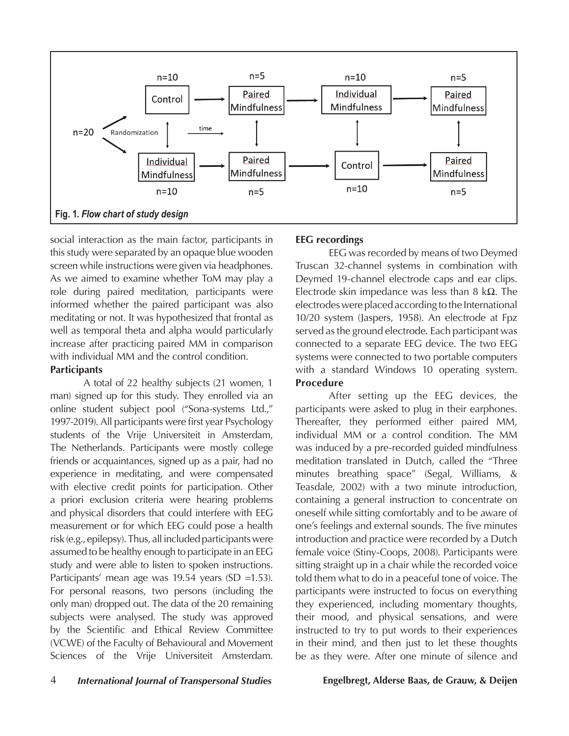

social interaction as the main factor, participants in this study were separated by an opaque blue wooden screen while instructions were given via headphones. As we aimed to examine whether ToM may play a role during paired meditation, participants were informed whether the paired participant was also meditating or not. It was hypothesized that frontal as well as temporal theta and alpha would particularly increase after practicing paired MM in comparison with individual MM and the control condition.

#### **Participants**

A total of 22 healthy subjects (21 women, 1 man) signed up for this study. They enrolled via an online student subject pool ("Sona-systems Ltd.," 1997-2019). All participants were first year Psychology students of the Vrije Universiteit in Amsterdam, The Netherlands. Participants were mostly college friends or acquaintances, signed up as a pair, had no experience in meditating, and were compensated with elective credit points for participation. Other a priori exclusion criteria were hearing problems and physical disorders that could interfere with EEG measurement or for which EEG could pose a health risk (e.g., epilepsy). Thus, all included participants were assumed to be healthy enough to participate in an EEG study and were able to listen to spoken instructions. Participants' mean age was 19.54 years (SD =1.53). For personal reasons, two persons (including the only man) dropped out. The data of the 20 remaining subjects were analysed. The study was approved by the Scientific and Ethical Review Committee (VCWE) of the Faculty of Behavioural and Movement Sciences of the Vrije Universiteit Amsterdam.

### **EEG recordings**

EEG was recorded by means of two Deymed Truscan 32-channel systems in combination with Deymed 19-channel electrode caps and ear clips. Electrode skin impedance was less than 8 kΩ. The electrodes were placed according to the International 10/20 system (Jaspers, 1958). An electrode at Fpz served as the ground electrode. Each participant was connected to a separate EEG device. The two EEG systems were connected to two portable computers with a standard Windows 10 operating system. **Procedure**

After setting up the EEG devices, the participants were asked to plug in their earphones. Thereafter, they performed either paired MM, individual MM or a control condition. The MM was induced by a pre-recorded guided mindfulness meditation translated in Dutch, called the "Three minutes breathing space" (Segal, Williams, & Teasdale, 2002) with a two minute introduction, containing a general instruction to concentrate on oneself while sitting comfortably and to be aware of one's feelings and external sounds. The five minutes introduction and practice were recorded by a Dutch female voice (Stiny-Coops, 2008). Participants were sitting straight up in a chair while the recorded voice told them what to do in a peaceful tone of voice. The participants were instructed to focus on everything they experienced, including momentary thoughts, their mood, and physical sensations, and were instructed to try to put words to their experiences in their mind, and then just to let these thoughts be as they were. After one minute of silence and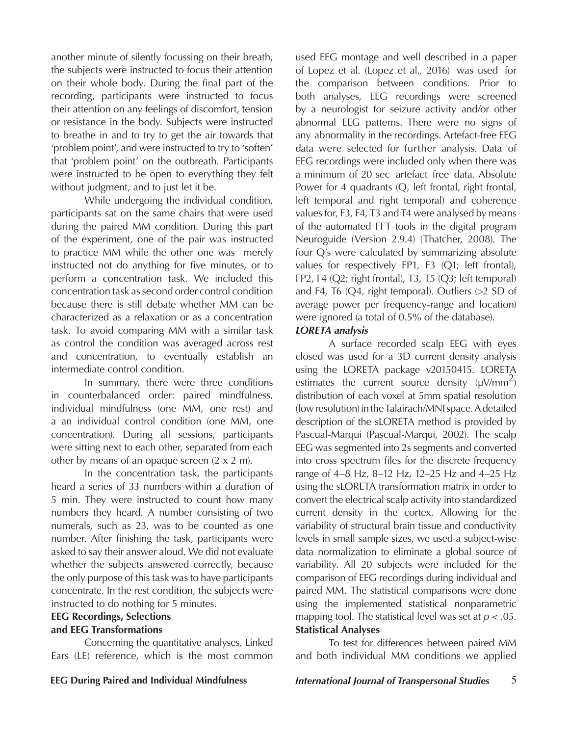another minute of silently focussing on their breath, the subjects were instructed to focus their attention on their whole body. During the final part of the recording, participants were instructed to focus their attention on any feelings of discomfort, tension or resistance in the body. Subjects were instructed to breathe in and to try to get the air towards that 'problem point', and were instructed to try to 'soften' that 'problem point' on the outbreath. Participants were instructed to be open to everything they felt without judgment, and to just let it be.

While undergoing the individual condition, participants sat on the same chairs that were used during the paired MM condition. During this part of the experiment, one of the pair was instructed to practice MM while the other one was merely instructed not do anything for five minutes, or to perform a concentration task. We included this concentration task as second order control condition because there is still debate whether MM can be characterized as a relaxation or as a concentration task. To avoid comparing MM with a similar task as control the condition was averaged across rest and concentration, to eventually establish an intermediate control condition.

In summary, there were three conditions in counterbalanced order: paired mindfulness, individual mindfulness (one MM, one rest) and a an individual control condition (one MM, one concentration). During all sessions, participants were sitting next to each other, separated from each other by means of an opaque screen  $(2 \times 2 \text{ m})$ .

In the concentration task, the participants heard a series of 33 numbers within a duration of 5 min. They were instructed to count how many numbers they heard. A number consisting of two numerals, such as 23, was to be counted as one number. After finishing the task, participants were asked to say their answer aloud. We did not evaluate whether the subjects answered correctly, because the only purpose of this task was to have participants concentrate. In the rest condition, the subjects were instructed to do nothing for 5 minutes.

# **EEG Recordings, Selections**

### **and EEG Transformations**

Concerning the quantitative analyses, Linked Ears (LE) reference, which is the most common used EEG montage and well described in a paper of Lopez et al. (Lopez et al., 2016) was used for the comparison between conditions. Prior to both analyses, EEG recordings were screened by a neurologist for seizure activity and/or other abnormal EEG patterns. There were no signs of any abnormality in the recordings. Artefact-free EEG data were selected for further analysis. Data of EEG recordings were included only when there was a minimum of 20 sec artefact free data. Absolute Power for 4 quadrants (Q, left frontal, right frontal, left temporal and right temporal) and coherence values for, F3, F4, T3 and T4 were analysed by means of the automated FFT tools in the digital program Neuroguide (Version 2.9.4) (Thatcher, 2008). The four Q's were calculated by summarizing absolute values for respectively FP1, F3 (Q1; left frontal), FP2, F4 (Q2; right frontal), T3, T5 (Q3; left temporal) and F4, T6 (Q4, right temporal). Outliers (>2 SD of average power per frequency-range and location) were ignored (a total of 0.5% of the database).

#### *LORETA analysis*

A surface recorded scalp EEG with eyes closed was used for a 3D current density analysis using the LORETA package v20150415. LORETA estimates the current source density  $(\mu V/mm^2)$ distribution of each voxel at 5mm spatial resolution (low resolution) in the Talairach/MNI space. A detailed description of the sLORETA method is provided by Pascual-Marqui (Pascual-Marqui, 2002). The scalp EEG was segmented into 2s segments and converted into cross spectrum files for the discrete frequency range of 4–8 Hz, 8–12 Hz, 12–25 Hz and 4–25 Hz using the sLORETA transformation matrix in order to convert the electrical scalp activity into standardized current density in the cortex. Allowing for the variability of structural brain tissue and conductivity levels in small sample sizes, we used a subject-wise data normalization to eliminate a global source of variability. All 20 subjects were included for the comparison of EEG recordings during individual and paired MM. The statistical comparisons were done using the implemented statistical nonparametric mapping tool. The statistical level was set at *p <* .05. **Statistical Analyses**

To test for differences between paired MM and both individual MM conditions we applied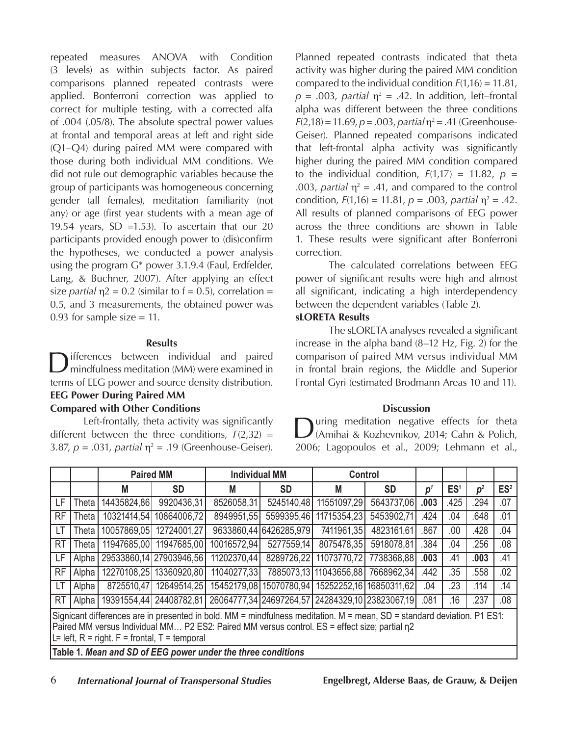repeated measures ANOVA with Condition (3 levels) as within subjects factor. As paired comparisons planned repeated contrasts were applied. Bonferroni correction was applied to correct for multiple testing, with a corrected alfa of .004 (.05/8). The absolute spectral power values at frontal and temporal areas at left and right side (Q1–Q4) during paired MM were compared with those during both individual MM conditions. We did not rule out demographic variables because the group of participants was homogeneous concerning gender (all females), meditation familiarity (not any) or age (first year students with a mean age of 19.54 years, SD =1.53). To ascertain that our 20 participants provided enough power to (dis)confirm the hypotheses, we conducted a power analysis using the program G\* power 3.1.9.4 (Faul, Erdfelder, Lang, & Buchner, 2007). After applying an effect size *partial*  $\eta$ 2 = 0.2 (similar to f = 0.5), correlation = 0.5, and 3 measurements, the obtained power was 0.93 for sample size  $= 11$ .

#### **Results**

ifferences between individual and paired mindfulness meditation (MM) were examined in terms of EEG power and source density distribution. **EEG Power During Paired MM** 

#### **Compared with Other Conditions**

Left-frontally, theta activity was significantly different between the three conditions,  $F(2,32) =$ 3.87,  $p = .031$ , *partial*  $\eta^2 = .19$  (Greenhouse-Geiser).

Planned repeated contrasts indicated that theta activity was higher during the paired MM condition compared to the individual condition *F*(1,16) = 11.81,  $p = .003$ , *partial*  $\eta^2 = .42$ . In addition, left–frontal alpha was different between the three conditions  $F(2,18) = 11.69, p = .003, partial \eta^2 = .41$  (Greenhouse-Geiser). Planned repeated comparisons indicated that left-frontal alpha activity was significantly higher during the paired MM condition compared to the individual condition,  $F(1,17) = 11.82$ ,  $p =$ .003, *partial*  $\eta^2 = .41$ , and compared to the control condition,  $F(1,16) = 11.81$ ,  $p = .003$ , *partial*  $\eta^2 = .42$ . All results of planned comparisons of EEG power across the three conditions are shown in Table 1. These results were significant after Bonferroni correction.

The calculated correlations between EEG power of significant results were high and almost all significant, indicating a high interdependency between the dependent variables (Table 2).

### **sLORETA Results**

The sLORETA analyses revealed a significant increase in the alpha band (8–12 Hz, Fig. 2) for the comparison of paired MM versus individual MM in frontal brain regions, the Middle and Superior Frontal Gyri (estimated Brodmann Areas 10 and 11).

#### **Discussion**

During meditation negative effects for theta (Amihai & Kozhevnikov, 2014; Cahn & Polich, 2006; Lagopoulos et al., 2009; Lehmann et al.,

|                                                                                                                                                                                                                                                                                 |       | <b>Paired MM</b>        |                         | <b>Individual MM</b> |                        | <b>Control</b>                                  |            |                |                 |                |                 |
|---------------------------------------------------------------------------------------------------------------------------------------------------------------------------------------------------------------------------------------------------------------------------------|-------|-------------------------|-------------------------|----------------------|------------------------|-------------------------------------------------|------------|----------------|-----------------|----------------|-----------------|
|                                                                                                                                                                                                                                                                                 |       | Μ                       | <b>SD</b>               | М                    | <b>SD</b>              | M                                               | <b>SD</b>  | p <sup>1</sup> | ES <sup>1</sup> | p <sup>2</sup> | ES <sup>2</sup> |
| LF                                                                                                                                                                                                                                                                              | Theta | 14435824,86             | 9920436,31              | 8526058,31           | 5245140,48             | 11551097,29                                     | 5643737,06 | .003           | .425            | .294           | .07             |
| <b>RF</b>                                                                                                                                                                                                                                                                       | Theta |                         | 10321414,54 10864006,72 | 8949951,55           | 5599395,46             | 11715354,23                                     | 5453902,71 | .424           | .04             | .648           | .01             |
| LT                                                                                                                                                                                                                                                                              | Theta | 10057869,05             | 12724001,27             |                      | 9633860,44 6426285,979 | 7411961,35                                      | 4823161,61 | .867           | .00             | .428           | .04             |
| <b>RT</b>                                                                                                                                                                                                                                                                       | Theta |                         | 11947685,00 11947685,00 | 10016572,94          | 5277559,14             | 8075478,35                                      | 5918078.81 | .384           | .04             | .256           | .08             |
| LF                                                                                                                                                                                                                                                                              | Alpha |                         | 29533860,14 27903946,56 | 11202370,44          | 8289726,22             | 11073770,72                                     | 7738368,88 | .003           | .41             | .003           | .41             |
| <b>RF</b>                                                                                                                                                                                                                                                                       | Alpha |                         | 12270108,25 13360920,80 | 11040277,33          |                        | 7885073,13 11043656,88 7668962,34               |            | .442           | .35             | .558           | .02             |
| LT                                                                                                                                                                                                                                                                              | Alpha | 8725510,47              | 12649514,25             |                      |                        | 15452179.08 15070780.94 15252252.16 16850311.62 |            | .04            | .23             | .114           | .14             |
| <b>RT</b>                                                                                                                                                                                                                                                                       | Alpha | 19391554,44 24408782,81 |                         |                      |                        | 26064777,34 24697264,57 24284329,10 23823067,19 |            | .081           | .16             | .237           | .08             |
| Signicant differences are in presented in bold. MM = mindfulness meditation. M = mean, SD = standard deviation. P1 ES1:<br>Paired MM versus Individual MM P2 ES2: Paired MM versus control. ES = effect size; partial n2<br>L= left, $R =$ right. $F =$ frontal, $T =$ temporal |       |                         |                         |                      |                        |                                                 |            |                |                 |                |                 |

**Table 1.** *Mean and SD of EEG power under the three conditions*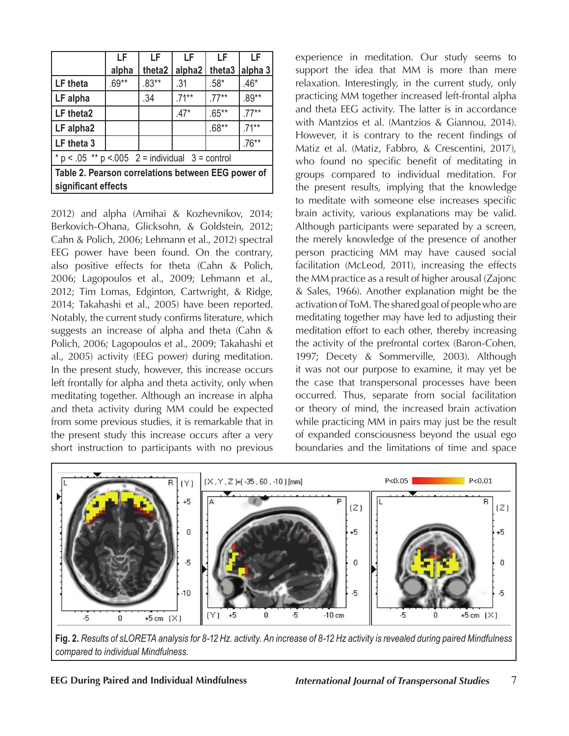|                                                                           | LF      | LF              | LF       | LF       | ΙF       |  |  |  |
|---------------------------------------------------------------------------|---------|-----------------|----------|----------|----------|--|--|--|
|                                                                           | alpha   | theta2          | alpha2   | theta3   | alpha 3  |  |  |  |
| LF theta                                                                  | $.69**$ | $.83***$<br>.31 |          | $.58*$   | $.46*$   |  |  |  |
| LF alpha                                                                  |         | .34             | $.71***$ | $.77***$ | $.89**$  |  |  |  |
| LF theta2                                                                 |         |                 | $.47*$   | $.65***$ | $.77***$ |  |  |  |
| LF alpha2                                                                 |         |                 |          | $.68**$  | $.71***$ |  |  |  |
| LF theta 3                                                                |         |                 |          |          | $.76***$ |  |  |  |
| $* p < .05 ** p < .005$ 2 = individual 3 = control                        |         |                 |          |          |          |  |  |  |
| Table 2. Pearson correlations between EEG power of<br>significant effects |         |                 |          |          |          |  |  |  |

2012) and alpha (Amihai & Kozhevnikov, 2014; Berkovich-Ohana, Glicksohn, & Goldstein, 2012; Cahn & Polich, 2006; Lehmann et al., 2012) spectral EEG power have been found. On the contrary, also positive effects for theta (Cahn & Polich, 2006; Lagopoulos et al., 2009; Lehmann et al., 2012; Tim Lomas, Edginton, Cartwright, & Ridge, 2014; Takahashi et al., 2005) have been reported. Notably, the current study confirms literature, which suggests an increase of alpha and theta (Cahn & Polich, 2006; Lagopoulos et al., 2009; Takahashi et al., 2005) activity (EEG power) during meditation. In the present study, however, this increase occurs left frontally for alpha and theta activity, only when meditating together. Although an increase in alpha and theta activity during MM could be expected from some previous studies, it is remarkable that in the present study this increase occurs after a very short instruction to participants with no previous

experience in meditation. Our study seems to support the idea that MM is more than mere relaxation. Interestingly, in the current study, only practicing MM together increased left-frontal alpha and theta EEG activity. The latter is in accordance with Mantzios et al. (Mantzios & Giannou, 2014). However, it is contrary to the recent findings of Matiz et al. (Matiz, Fabbro, & Crescentini, 2017), who found no specific benefit of meditating in groups compared to individual meditation. For the present results, implying that the knowledge to meditate with someone else increases specific brain activity, various explanations may be valid. Although participants were separated by a screen, the merely knowledge of the presence of another person practicing MM may have caused social facilitation (McLeod, 2011), increasing the effects the MM practice as a result of higher arousal (Zajonc & Sales, 1966). Another explanation might be the activation of ToM. The shared goal of people who are meditating together may have led to adjusting their meditation effort to each other, thereby increasing the activity of the prefrontal cortex (Baron-Cohen, 1997; Decety & Sommerville, 2003). Although it was not our purpose to examine, it may yet be the case that transpersonal processes have been occurred. Thus, separate from social facilitation or theory of mind, the increased brain activation while practicing MM in pairs may just be the result of expanded consciousness beyond the usual ego boundaries and the limitations of time and space



**Fig. 2.** *Results of sLORETA analysis for 8-12 Hz. activity. An increase of 8-12 Hz activity is revealed during paired Mindfulness compared to individual Mindfulness.*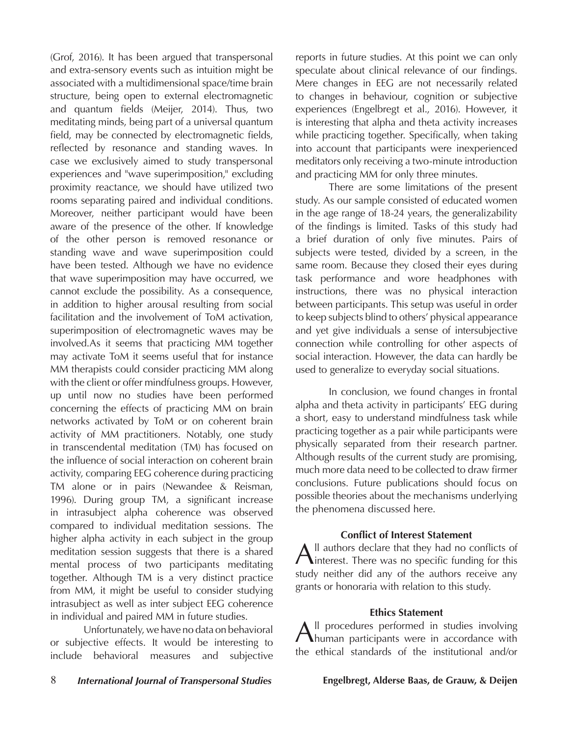(Grof, 2016). It has been argued that transpersonal and extra-sensory events such as intuition might be associated with a multidimensional space/time brain structure, being open to external electromagnetic and quantum fields (Meijer, 2014). Thus, two meditating minds, being part of a universal quantum field, may be connected by electromagnetic fields, reflected by resonance and standing waves. In case we exclusively aimed to study transpersonal experiences and "wave superimposition," excluding proximity reactance, we should have utilized two rooms separating paired and individual conditions. Moreover, neither participant would have been aware of the presence of the other. If knowledge of the other person is removed resonance or standing wave and wave superimposition could have been tested. Although we have no evidence that wave superimposition may have occurred, we cannot exclude the possibility. As a consequence, in addition to higher arousal resulting from social facilitation and the involvement of ToM activation, superimposition of electromagnetic waves may be involved.As it seems that practicing MM together may activate ToM it seems useful that for instance MM therapists could consider practicing MM along with the client or offer mindfulness groups. However, up until now no studies have been performed concerning the effects of practicing MM on brain networks activated by ToM or on coherent brain activity of MM practitioners. Notably, one study in transcendental meditation (TM) has focused on the influence of social interaction on coherent brain activity, comparing EEG coherence during practicing TM alone or in pairs (Newandee & Reisman, 1996). During group TM, a significant increase in intrasubject alpha coherence was observed compared to individual meditation sessions. The higher alpha activity in each subject in the group meditation session suggests that there is a shared mental process of two participants meditating together. Although TM is a very distinct practice from MM, it might be useful to consider studying intrasubject as well as inter subject EEG coherence in individual and paired MM in future studies.

Unfortunately, we have no data on behavioral or subjective effects. It would be interesting to include behavioral measures and subjective reports in future studies. At this point we can only speculate about clinical relevance of our findings. Mere changes in EEG are not necessarily related to changes in behaviour, cognition or subjective experiences (Engelbregt et al., 2016). However, it is interesting that alpha and theta activity increases while practicing together. Specifically, when taking into account that participants were inexperienced meditators only receiving a two-minute introduction and practicing MM for only three minutes.

There are some limitations of the present study. As our sample consisted of educated women in the age range of 18-24 years, the generalizability of the findings is limited. Tasks of this study had a brief duration of only five minutes. Pairs of subjects were tested, divided by a screen, in the same room. Because they closed their eyes during task performance and wore headphones with instructions, there was no physical interaction between participants. This setup was useful in order to keep subjects blind to others' physical appearance and yet give individuals a sense of intersubjective connection while controlling for other aspects of social interaction. However, the data can hardly be used to generalize to everyday social situations.

In conclusion, we found changes in frontal alpha and theta activity in participants' EEG during a short, easy to understand mindfulness task while practicing together as a pair while participants were physically separated from their research partner. Although results of the current study are promising, much more data need to be collected to draw firmer conclusions. Future publications should focus on possible theories about the mechanisms underlying the phenomena discussed here.

#### **Conflict of Interest Statement**

All authors declare that they had no conflicts of interest. There was no specific funding for this study neither did any of the authors receive any grants or honoraria with relation to this study.

#### **Ethics Statement**

All procedures performed in studies involving human participants were in accordance with the ethical standards of the institutional and/or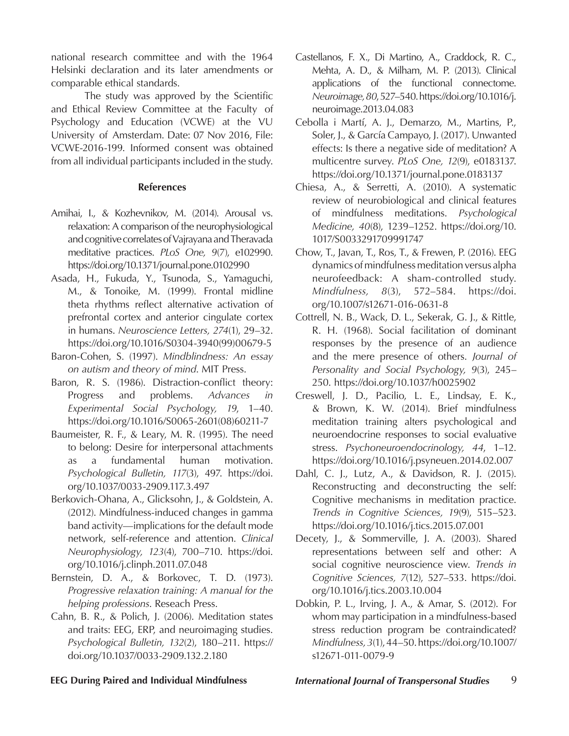national research committee and with the 1964 Helsinki declaration and its later amendments or comparable ethical standards.

The study was approved by the Scientific and Ethical Review Committee at the Faculty of Psychology and Education (VCWE) at the VU University of Amsterdam. Date: 07 Nov 2016, File: VCWE-2016-199. Informed consent was obtained from all individual participants included in the study.

#### **References**

- Amihai, I., & Kozhevnikov, M. (2014). Arousal vs. relaxation: A comparison of the neurophysiological and cognitive correlates of Vajrayana and Theravada meditative practices. *PLoS One, 9*(7), e102990. https://doi.org/10.1371/journal.pone.0102990
- Asada, H., Fukuda, Y., Tsunoda, S., Yamaguchi, M., & Tonoike, M. (1999). Frontal midline theta rhythms reflect alternative activation of prefrontal cortex and anterior cingulate cortex in humans. *Neuroscience Letters, 274*(1), 29–32. https://doi.org/10.1016/S0304-3940(99)00679-5
- Baron-Cohen, S. (1997). *Mindblindness: An essay on autism and theory of mind*. MIT Press.
- Baron, R. S. (1986). Distraction-conflict theory: Progress and problems. *Advances in Experimental Social Psychology, 19*, 1–40. https://doi.org/10.1016/S0065-2601(08)60211-7
- Baumeister, R. F., & Leary, M. R. (1995). The need to belong: Desire for interpersonal attachments as a fundamental human motivation. *Psychological Bulletin, 117*(3), 497. https://doi. org/10.1037/0033-2909.117.3.497
- Berkovich-Ohana, A., Glicksohn, J., & Goldstein, A. (2012). Mindfulness-induced changes in gamma band activity—implications for the default mode network, self-reference and attention. *Clinical Neurophysiology, 123*(4), 700–710. https://doi. org/10.1016/j.clinph.2011.07.048
- Bernstein, D. A., & Borkovec, T. D. (1973). *Progressive relaxation training: A manual for the helping professions*. Reseach Press.
- Cahn, B. R., & Polich, J. (2006). Meditation states and traits: EEG, ERP, and neuroimaging studies. *Psychological Bulletin, 132*(2), 180–211. https:// doi.org/10.1037/0033-2909.132.2.180
- Castellanos, F. X., Di Martino, A., Craddock, R. C., Mehta, A. D., & Milham, M. P. (2013). Clinical applications of the functional connectome. *Neuroimage, 80*, 527–540. https://doi.org/10.1016/j. neuroimage.2013.04.083
- Cebolla i Martí, A. J., Demarzo, M., Martins, P., Soler, J., & García Campayo, J. (2017). Unwanted effects: Is there a negative side of meditation? A multicentre survey. *PLoS One, 12*(9), e0183137. https://doi.org/10.1371/journal.pone.0183137
- Chiesa, A., & Serretti, A. (2010). A systematic review of neurobiological and clinical features of mindfulness meditations. *Psychological Medicine, 40*(8), 1239–1252. https://doi.org/10. 1017/S0033291709991747
- Chow, T., Javan, T., Ros, T., & Frewen, P. (2016). EEG dynamics of mindfulness meditation versus alpha neurofeedback: A sham-controlled study. *Mindfulness, 8*(3), 572–584. https://doi. org/10.1007/s12671-016-0631-8
- Cottrell, N. B., Wack, D. L., Sekerak, G. J., & Rittle, R. H. (1968). Social facilitation of dominant responses by the presence of an audience and the mere presence of others. *Journal of Personality and Social Psychology, 9*(3), 245– 250. https://doi.org/10.1037/h0025902
- Creswell, J. D., Pacilio, L. E., Lindsay, E. K., & Brown, K. W. (2014). Brief mindfulness meditation training alters psychological and neuroendocrine responses to social evaluative stress. *Psychoneuroendocrinology, 44*, 1–12. https://doi.org/10.1016/j.psyneuen.2014.02.007
- Dahl, C. J., Lutz, A., & Davidson, R. J. (2015). Reconstructing and deconstructing the self: Cognitive mechanisms in meditation practice. *Trends in Cognitive Sciences, 19*(9), 515–523. https://doi.org/10.1016/j.tics.2015.07.001
- Decety, J., & Sommerville, J. A. (2003). Shared representations between self and other: A social cognitive neuroscience view. *Trends in Cognitive Sciences, 7*(12), 527–533. https://doi. org/10.1016/j.tics.2003.10.004
- Dobkin, P. L., Irving, J. A., & Amar, S. (2012). For whom may participation in a mindfulness-based stress reduction program be contraindicated? *Mindfulness, 3*(1), 44–50. https://doi.org/10.1007/ s12671-011-0079-9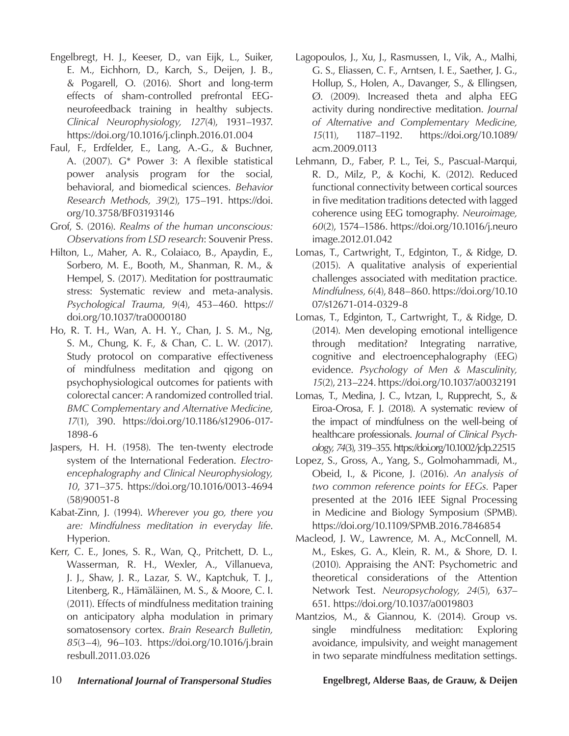- Engelbregt, H. J., Keeser, D., van Eijk, L., Suiker, E. M., Eichhorn, D., Karch, S., Deijen, J. B., & Pogarell, O. (2016). Short and long-term effects of sham-controlled prefrontal EEGneurofeedback training in healthy subjects. *Clinical Neurophysiology, 127*(4), 1931–1937. https://doi.org/10.1016/j.clinph.2016.01.004
- Faul, F., Erdfelder, E., Lang, A.-G., & Buchner, A. (2007). G\* Power 3: A flexible statistical power analysis program for the social, behavioral, and biomedical sciences. *Behavior Research Methods, 39*(2), 175–191. https://doi. org/10.3758/BF03193146
- Grof, S. (2016). *Realms of the human unconscious: Observations from LSD research*: Souvenir Press.
- Hilton, L., Maher, A. R., Colaiaco, B., Apaydin, E., Sorbero, M. E., Booth, M., Shanman, R. M., & Hempel, S. (2017). Meditation for posttraumatic stress: Systematic review and meta-analysis. *Psychological Trauma, 9*(4), 453–460. https:// doi.org/10.1037/tra0000180
- Ho, R. T. H., Wan, A. H. Y., Chan, J. S. M., Ng, S. M., Chung, K. F., & Chan, C. L. W. (2017). Study protocol on comparative effectiveness of mindfulness meditation and qigong on psychophysiological outcomes for patients with colorectal cancer: A randomized controlled trial. *BMC Complementary and Alternative Medicine, 17*(1), 390. https://doi.org/10.1186/s12906-017- 1898-6
- Jaspers, H. H. (1958). The ten-twenty electrode system of the International Federation. *Electroencephalography and Clinical Neurophysiology, 10*, 371–375. https://doi.org/10.1016/0013-4694 (58)90051-8
- Kabat-Zinn, J. (1994). *Wherever you go, there you are: Mindfulness meditation in everyday life*. Hyperion.
- Kerr, C. E., Jones, S. R., Wan, Q., Pritchett, D. L., Wasserman, R. H., Wexler, A., Villanueva, J. J., Shaw, J. R., Lazar, S. W., Kaptchuk, T. J., Litenberg, R., Hämäläinen, M. S., & Moore, C. I. (2011). Effects of mindfulness meditation training on anticipatory alpha modulation in primary somatosensory cortex. *Brain Research Bulletin, 85*(3–4), 96–103. https://doi.org/10.1016/j.brain resbull.2011.03.026
- Lagopoulos, J., Xu, J., Rasmussen, I., Vik, A., Malhi, G. S., Eliassen, C. F., Arntsen, I. E., Saether, J. G., Hollup, S., Holen, A., Davanger, S., & Ellingsen, Ø. (2009). Increased theta and alpha EEG activity during nondirective meditation. *Journal of Alternative and Complementary Medicine, 15*(11), 1187–1192. https://doi.org/10.1089/ acm.2009.0113
- Lehmann, D., Faber, P. L., Tei, S., Pascual-Marqui, R. D., Milz, P., & Kochi, K. (2012). Reduced functional connectivity between cortical sources in five meditation traditions detected with lagged coherence using EEG tomography. *Neuroimage, 60*(2), 1574–1586. https://doi.org/10.1016/j.neuro image.2012.01.042
- Lomas, T., Cartwright, T., Edginton, T., & Ridge, D. (2015). A qualitative analysis of experiential challenges associated with meditation practice. *Mindfulness, 6*(4), 848–860. https://doi.org/10.10 07/s12671-014-0329-8
- Lomas, T., Edginton, T., Cartwright, T., & Ridge, D. (2014). Men developing emotional intelligence through meditation? Integrating narrative, cognitive and electroencephalography (EEG) evidence. *Psychology of Men & Masculinity, 15*(2), 213–224. https://doi.org/10.1037/a0032191
- Lomas, T., Medina, J. C., Ivtzan, I., Rupprecht, S., & Eiroa-Orosa, F. J. (2018). A systematic review of the impact of mindfulness on the well-being of healthcare professionals. *Journal of Clinical Psychology, 74*(3), 319–355. https://doi.org/10.1002/jclp.22515
- Lopez, S., Gross, A., Yang, S., Golmohammadi, M., Obeid, I., & Picone, J. (2016). *An analysis of two common reference points for EEGs.* Paper presented at the 2016 IEEE Signal Processing in Medicine and Biology Symposium (SPMB). https://doi.org/10.1109/SPMB.2016.7846854
- Macleod, J. W., Lawrence, M. A., McConnell, M. M., Eskes, G. A., Klein, R. M., & Shore, D. I. (2010). Appraising the ANT: Psychometric and theoretical considerations of the Attention Network Test. *Neuropsychology, 24*(5), 637– 651. https://doi.org/10.1037/a0019803
- Mantzios, M., & Giannou, K. (2014). Group vs. single mindfulness meditation: Exploring avoidance, impulsivity, and weight management in two separate mindfulness meditation settings.
- 10 *International Journal of Transpersonal Studies* **Engelbregt, Alderse Baas, de Grauw, & Deijen**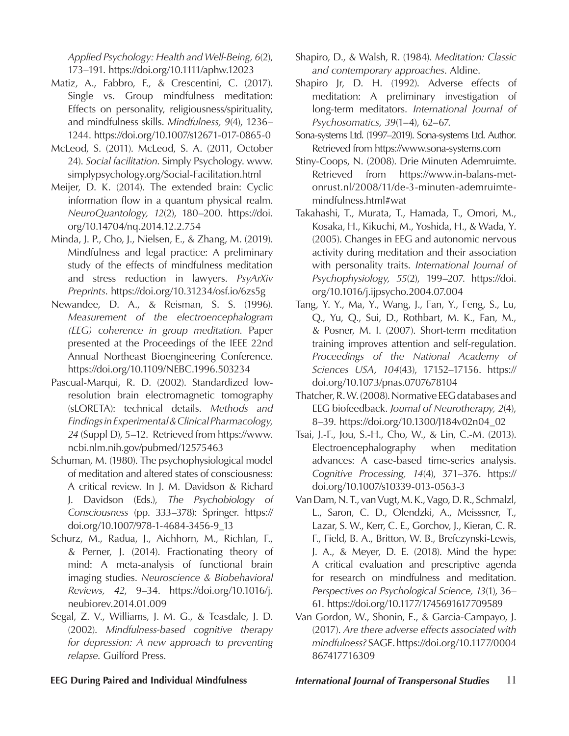*Applied Psychology: Health and Well-Being, 6*(2), 173–191. https://doi.org/10.1111/aphw.12023

- Matiz, A., Fabbro, F., & Crescentini, C. (2017). Single vs. Group mindfulness meditation: Effects on personality, religiousness/spirituality, and mindfulness skills. *Mindfulness, 9*(4), 1236– 1244. https://doi.org/10.1007/s12671-017-0865-0
- McLeod, S. (2011). McLeod, S. A. (2011, October 24). *Social facilitation*. Simply Psychology. www. simplypsychology.org/Social-Facilitation.html
- Meijer, D. K. (2014). The extended brain: Cyclic information flow in a quantum physical realm. *NeuroQuantology, 12*(2), 180–200. https://doi. org/10.14704/nq.2014.12.2.754
- Minda, J. P., Cho, J., Nielsen, E., & Zhang, M. (2019). Mindfulness and legal practice: A preliminary study of the effects of mindfulness meditation and stress reduction in lawyers. *PsyArXiv Preprints*. https://doi.org/10.31234/osf.io/6zs5g
- Newandee, D. A., & Reisman, S. S. (1996). *Measurement of the electroencephalogram (EEG) coherence in group meditation.* Paper presented at the Proceedings of the IEEE 22nd Annual Northeast Bioengineering Conference. https://doi.org/10.1109/NEBC.1996.503234
- Pascual-Marqui, R. D. (2002). Standardized lowresolution brain electromagnetic tomography (sLORETA): technical details. *Methods and Findings in Experimental & Clinical Pharmacology, 24* (Suppl D), 5–12. Retrieved from https://www. ncbi.nlm.nih.gov/pubmed/12575463
- Schuman, M. (1980). The psychophysiological model of meditation and altered states of consciousness: A critical review. In J. M. Davidson & Richard J. Davidson (Eds.), *The Psychobiology of Consciousness* (pp. 333–378): Springer. https:// doi.org/10.1007/978-1-4684-3456-9\_13
- Schurz, M., Radua, J., Aichhorn, M., Richlan, F., & Perner, J. (2014). Fractionating theory of mind: A meta-analysis of functional brain imaging studies. *Neuroscience & Biobehavioral Reviews, 42*, 9–34. https://doi.org/10.1016/j. neubiorev.2014.01.009
- Segal, Z. V., Williams, J. M. G., & Teasdale, J. D. (2002). *Mindfulness-based cognitive therapy for depression: A new approach to preventing relapse*. Guilford Press.
- Shapiro, D., & Walsh, R. (1984). *Meditation: Classic and contemporary approaches*. Aldine.
- Shapiro Jr, D. H. (1992). Adverse effects of meditation: A preliminary investigation of long-term meditators. *International Journal of Psychosomatics, 39*(1–4), 62–67.
- Sona-systems Ltd. (1997–2019). Sona-systems Ltd. Author. Retrieved from https://www.sona-systems.com
- Stiny-Coops, N. (2008). Drie Minuten Ademruimte. Retrieved from https://www.in-balans-metonrust.nl/2008/11/de-3-minuten-ademruimtemindfulness.html#wat
- Takahashi, T., Murata, T., Hamada, T., Omori, M., Kosaka, H., Kikuchi, M., Yoshida, H., & Wada, Y. (2005). Changes in EEG and autonomic nervous activity during meditation and their association with personality traits. *International Journal of Psychophysiology, 55*(2), 199–207. https://doi. org/10.1016/j.ijpsycho.2004.07.004
- Tang, Y. Y., Ma, Y., Wang, J., Fan, Y., Feng, S., Lu, Q., Yu, Q., Sui, D., Rothbart, M. K., Fan, M., & Posner, M. I. (2007). Short-term meditation training improves attention and self-regulation. *Proceedings of the National Academy of Sciences USA, 104*(43), 17152–17156. https:// doi.org/10.1073/pnas.0707678104
- Thatcher, R. W. (2008). Normative EEG databases and EEG biofeedback. *Journal of Neurotherapy, 2*(4), 8–39. https://doi.org/10.1300/J184v02n04\_02
- Tsai, J.-F., Jou, S.-H., Cho, W., & Lin, C.-M. (2013). Electroencephalography when meditation advances: A case-based time-series analysis. *Cognitive Processing, 14*(4), 371–376. https:// doi.org/10.1007/s10339-013-0563-3
- Van Dam, N. T., van Vugt, M. K., Vago, D. R., Schmalzl, L., Saron, C. D., Olendzki, A., Meisssner, T., Lazar, S. W., Kerr, C. E., Gorchov, J., Kieran, C. R. F., Field, B. A., Britton, W. B., Brefczynski-Lewis, J. A., & Meyer, D. E. (2018). Mind the hype: A critical evaluation and prescriptive agenda for research on mindfulness and meditation. *Perspectives on Psychological Science, 13*(1), 36– 61. https://doi.org/10.1177/1745691617709589
- Van Gordon, W., Shonin, E., & Garcia-Campayo, J. (2017). *Are there adverse effects associated with mindfulness?* SAGE. https://doi.org/10.1177/0004 867417716309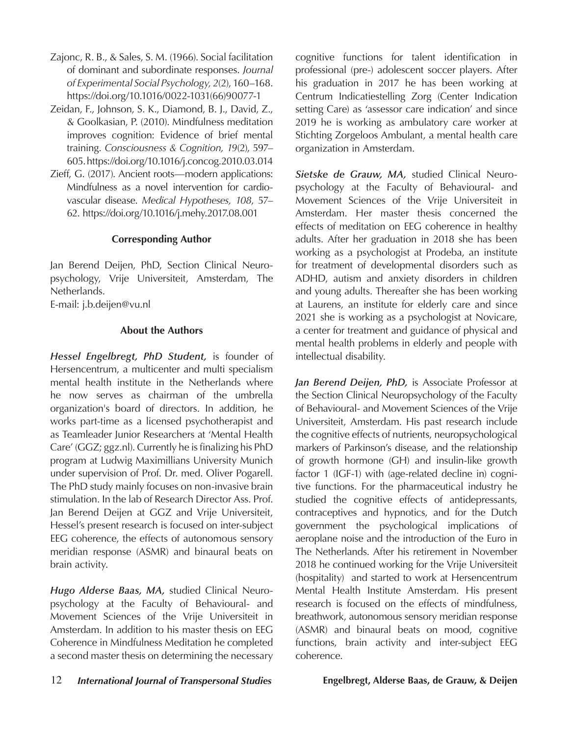- Zajonc, R. B., & Sales, S. M. (1966). Social facilitation of dominant and subordinate responses. *Journal of Experimental Social Psychology, 2*(2), 160–168. https://doi.org/10.1016/0022-1031(66)90077-1
- Zeidan, F., Johnson, S. K., Diamond, B. J., David, Z., & Goolkasian, P. (2010). Mindfulness meditation improves cognition: Evidence of brief mental training. *Consciousness & Cognition, 19*(2), 597– 605. https://doi.org/10.1016/j.concog.2010.03.014
- Zieff, G. (2017). Ancient roots—modern applications: Mindfulness as a novel intervention for cardiovascular disease. *Medical Hypotheses, 108*, 57– 62. https://doi.org/10.1016/j.mehy.2017.08.001

#### **Corresponding Author**

Jan Berend Deijen, PhD, Section Clinical Neuropsychology, Vrije Universiteit, Amsterdam, The Netherlands.

E-mail: j.b.deijen@vu.nl

#### **About the Authors**

*Hessel Engelbregt, PhD Student,* is founder of Hersencentrum, a multicenter and multi specialism mental health institute in the Netherlands where he now serves as chairman of the umbrella organization's board of directors. In addition, he works part-time as a licensed psychotherapist and as Teamleader Junior Researchers at 'Mental Health Care' (GGZ; ggz.nl). Currently he is finalizing his PhD program at Ludwig Maximillians University Munich under supervision of Prof. Dr. med. Oliver Pogarell. The PhD study mainly focuses on non-invasive brain stimulation. In the lab of Research Director Ass. Prof. Jan Berend Deijen at GGZ and Vrije Universiteit, Hessel's present research is focused on inter-subject EEG coherence, the effects of autonomous sensory meridian response (ASMR) and binaural beats on brain activity.

*Hugo Alderse Baas, MA,* studied Clinical Neuropsychology at the Faculty of Behavioural- and Movement Sciences of the Vrije Universiteit in Amsterdam. In addition to his master thesis on EEG Coherence in Mindfulness Meditation he completed a second master thesis on determining the necessary cognitive functions for talent identification in professional (pre-) adolescent soccer players. After his graduation in 2017 he has been working at Centrum Indicatiestelling Zorg (Center Indication setting Care) as 'assessor care indication' and since 2019 he is working as ambulatory care worker at Stichting Zorgeloos Ambulant, a mental health care organization in Amsterdam.

*Sietske de Grauw, MA,* studied Clinical Neuropsychology at the Faculty of Behavioural- and Movement Sciences of the Vrije Universiteit in Amsterdam. Her master thesis concerned the effects of meditation on EEG coherence in healthy adults. After her graduation in 2018 she has been working as a psychologist at Prodeba, an institute for treatment of developmental disorders such as ADHD, autism and anxiety disorders in children and young adults. Thereafter she has been working at Laurens, an institute for elderly care and since 2021 she is working as a psychologist at Novicare, a center for treatment and guidance of physical and mental health problems in elderly and people with intellectual disability.

*Jan Berend Deijen, PhD,* is Associate Professor at the Section Clinical Neuropsychology of the Faculty of Behavioural- and Movement Sciences of the Vrije Universiteit, Amsterdam. His past research include the cognitive effects of nutrients, neuropsychological markers of Parkinson's disease, and the relationship of growth hormone (GH) and insulin-like growth factor 1 (IGF-1) with (age-related decline in) cognitive functions. For the pharmaceutical industry he studied the cognitive effects of antidepressants, contraceptives and hypnotics, and for the Dutch government the psychological implications of aeroplane noise and the introduction of the Euro in The Netherlands. After his retirement in November 2018 he continued working for the Vrije Universiteit (hospitality) and started to work at Hersencentrum Mental Health Institute Amsterdam. His present research is focused on the effects of mindfulness, breathwork, autonomous sensory meridian response (ASMR) and binaural beats on mood, cognitive functions, brain activity and inter-subject EEG coherence.